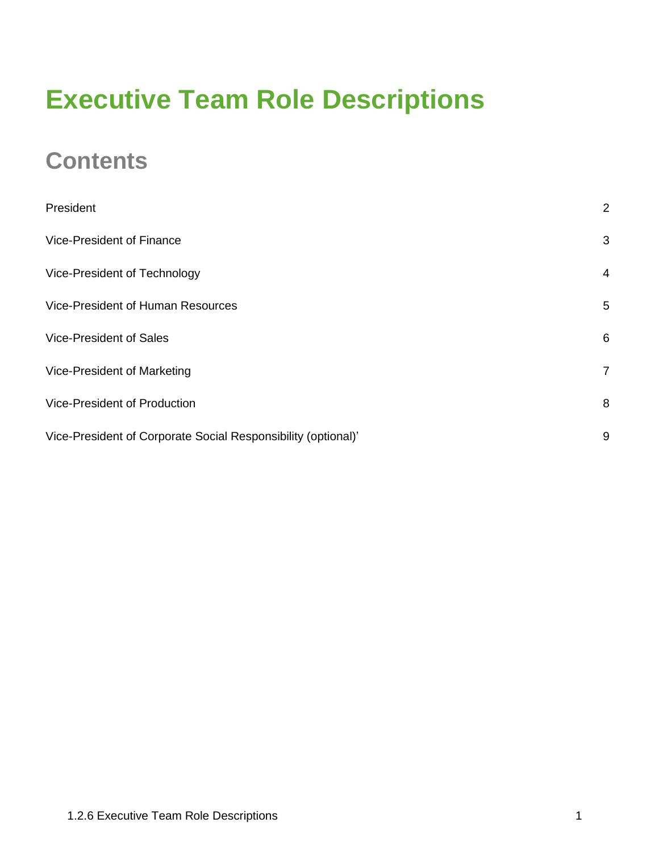## **Executive Team Role Descriptions**

### **Contents**

| President                                                     | $\overline{2}$ |
|---------------------------------------------------------------|----------------|
| <b>Vice-President of Finance</b>                              | 3              |
| Vice-President of Technology                                  | $\overline{4}$ |
| <b>Vice-President of Human Resources</b>                      | 5              |
| <b>Vice-President of Sales</b>                                | 6              |
| Vice-President of Marketing                                   | $\overline{7}$ |
| <b>Vice-President of Production</b>                           | 8              |
| Vice-President of Corporate Social Responsibility (optional)' | 9              |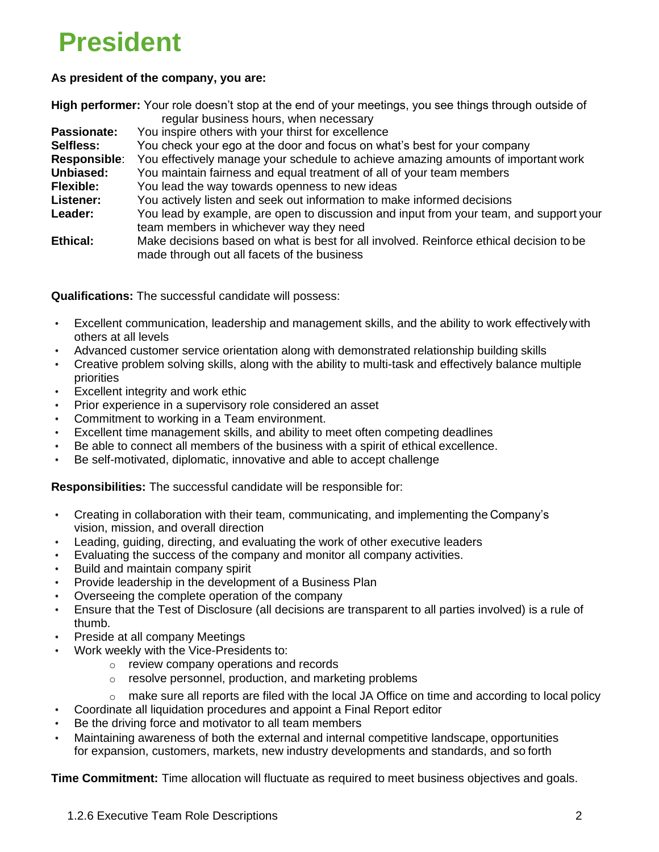## <span id="page-1-0"></span>**President**

#### **As president of the company, you are:**

|                    | High performer: Your role doesn't stop at the end of your meetings, you see things through outside of                                  |
|--------------------|----------------------------------------------------------------------------------------------------------------------------------------|
| <b>Passionate:</b> | regular business hours, when necessary<br>You inspire others with your thirst for excellence                                           |
|                    |                                                                                                                                        |
| Selfless:          | You check your ego at the door and focus on what's best for your company                                                               |
| Responsible:       | You effectively manage your schedule to achieve amazing amounts of important work                                                      |
| Unbiased:          | You maintain fairness and equal treatment of all of your team members                                                                  |
| <b>Flexible:</b>   | You lead the way towards openness to new ideas                                                                                         |
| Listener:          | You actively listen and seek out information to make informed decisions                                                                |
| Leader:            | You lead by example, are open to discussion and input from your team, and support your<br>team members in whichever way they need      |
| Ethical:           | Make decisions based on what is best for all involved. Reinforce ethical decision to be<br>made through out all facets of the business |

**Qualifications:** The successful candidate will possess:

- Excellent communication, leadership and management skills, and the ability to work effectively with others at all levels
- Advanced customer service orientation along with demonstrated relationship building skills
- Creative problem solving skills, along with the ability to multi-task and effectively balance multiple priorities
- Excellent integrity and work ethic
- Prior experience in a supervisory role considered an asset
- Commitment to working in a Team environment.
- Excellent time management skills, and ability to meet often competing deadlines
- Be able to connect all members of the business with a spirit of ethical excellence.
- Be self-motivated, diplomatic, innovative and able to accept challenge

**Responsibilities:** The successful candidate will be responsible for:

- Creating in collaboration with their team, communicating, and implementing the Company's vision, mission, and overall direction
- Leading, guiding, directing, and evaluating the work of other executive leaders
- Evaluating the success of the company and monitor all company activities.
- Build and maintain company spirit
- Provide leadership in the development of a Business Plan
- Overseeing the complete operation of the company
- Ensure that the Test of Disclosure (all decisions are transparent to all parties involved) is a rule of thumb.
- Preside at all company Meetings
- Work weekly with the Vice-Presidents to:
	- o review company operations and records
	- o resolve personnel, production, and marketing problems
	- $\circ$  make sure all reports are filed with the local JA Office on time and according to local policy
- Coordinate all liquidation procedures and appoint a Final Report editor
- Be the driving force and motivator to all team members
- Maintaining awareness of both the external and internal competitive landscape, opportunities for expansion, customers, markets, new industry developments and standards, and so forth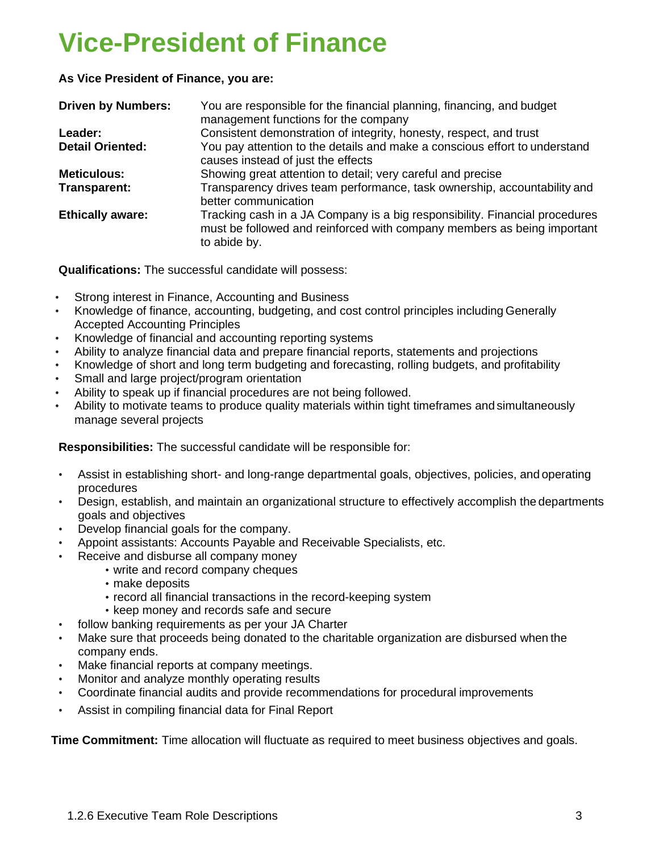### <span id="page-2-0"></span>**Vice-President of Finance**

**As Vice President of Finance, you are:**

| <b>Driven by Numbers:</b> | You are responsible for the financial planning, financing, and budget<br>management functions for the company                                                          |
|---------------------------|------------------------------------------------------------------------------------------------------------------------------------------------------------------------|
| Leader:                   | Consistent demonstration of integrity, honesty, respect, and trust                                                                                                     |
| <b>Detail Oriented:</b>   | You pay attention to the details and make a conscious effort to understand<br>causes instead of just the effects                                                       |
| <b>Meticulous:</b>        | Showing great attention to detail; very careful and precise                                                                                                            |
| Transparent:              | Transparency drives team performance, task ownership, accountability and<br>better communication                                                                       |
| <b>Ethically aware:</b>   | Tracking cash in a JA Company is a big responsibility. Financial procedures<br>must be followed and reinforced with company members as being important<br>to abide by. |

**Qualifications:** The successful candidate will possess:

- Strong interest in Finance, Accounting and Business
- Knowledge of finance, accounting, budgeting, and cost control principles including Generally Accepted Accounting Principles
- Knowledge of financial and accounting reporting systems
- Ability to analyze financial data and prepare financial reports, statements and projections
- Knowledge of short and long term budgeting and forecasting, rolling budgets, and profitability
- Small and large project/program orientation
- Ability to speak up if financial procedures are not being followed.
- Ability to motivate teams to produce quality materials within tight timeframes and simultaneously manage several projects

**Responsibilities:** The successful candidate will be responsible for:

- Assist in establishing short- and long-range departmental goals, objectives, policies, and operating procedures
- Design, establish, and maintain an organizational structure to effectively accomplish the departments goals and objectives
- Develop financial goals for the company.
- Appoint assistants: Accounts Payable and Receivable Specialists, etc.
- Receive and disburse all company money
	- write and record company cheques
	- make deposits
	- record all financial transactions in the record-keeping system
	- keep money and records safe and secure
- follow banking requirements as per your JA Charter
- Make sure that proceeds being donated to the charitable organization are disbursed when the company ends.
- Make financial reports at company meetings.
- Monitor and analyze monthly operating results
- Coordinate financial audits and provide recommendations for procedural improvements
- Assist in compiling financial data for Final Report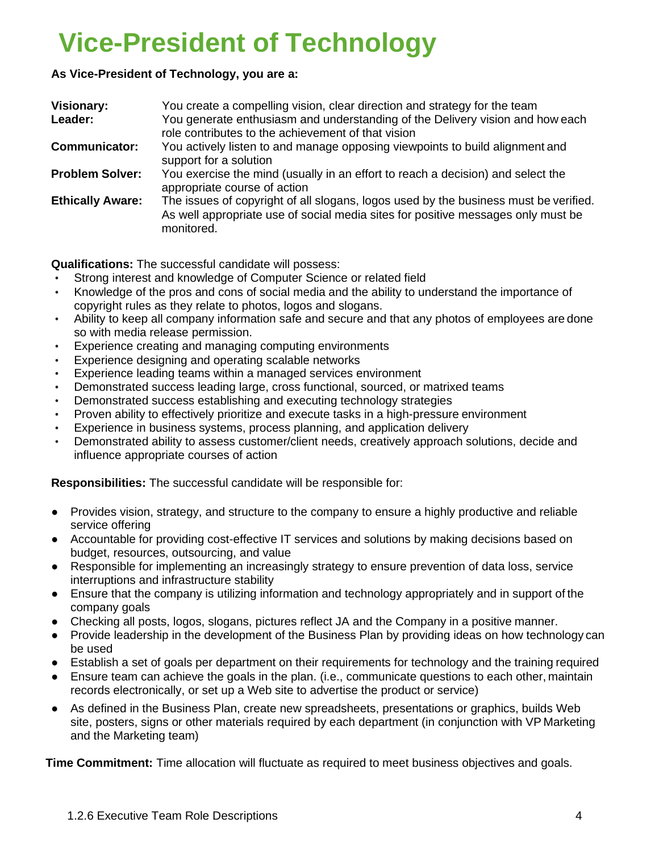## <span id="page-3-0"></span>**Vice-President of Technology**

### **As Vice-President of Technology, you are a:**

| <b>Visionary:</b>       | You create a compelling vision, clear direction and strategy for the team                                                                                                              |
|-------------------------|----------------------------------------------------------------------------------------------------------------------------------------------------------------------------------------|
| Leader:                 | You generate enthusiasm and understanding of the Delivery vision and how each<br>role contributes to the achievement of that vision                                                    |
| <b>Communicator:</b>    | You actively listen to and manage opposing viewpoints to build alignment and<br>support for a solution                                                                                 |
| <b>Problem Solver:</b>  | You exercise the mind (usually in an effort to reach a decision) and select the<br>appropriate course of action                                                                        |
| <b>Ethically Aware:</b> | The issues of copyright of all slogans, logos used by the business must be verified.<br>As well appropriate use of social media sites for positive messages only must be<br>monitored. |

**Qualifications:** The successful candidate will possess:

- Strong interest and knowledge of Computer Science or related field
- Knowledge of the pros and cons of social media and the ability to understand the importance of copyright rules as they relate to photos, logos and slogans.
- Ability to keep all company information safe and secure and that any photos of employees are done so with media release permission.
- Experience creating and managing computing environments
- Experience designing and operating scalable networks
- Experience leading teams within a managed services environment
- Demonstrated success leading large, cross functional, sourced, or matrixed teams
- Demonstrated success establishing and executing technology strategies
- Proven ability to effectively prioritize and execute tasks in a high-pressure environment
- Experience in business systems, process planning, and application delivery
- Demonstrated ability to assess customer/client needs, creatively approach solutions, decide and influence appropriate courses of action

**Responsibilities:** The successful candidate will be responsible for:

- Provides vision, strategy, and structure to the company to ensure a highly productive and reliable service offering
- Accountable for providing cost-effective IT services and solutions by making decisions based on budget, resources, outsourcing, and value
- Responsible for implementing an increasingly strategy to ensure prevention of data loss, service interruptions and infrastructure stability
- Ensure that the company is utilizing information and technology appropriately and in support of the company goals
- Checking all posts, logos, slogans, pictures reflect JA and the Company in a positive manner.
- Provide leadership in the development of the Business Plan by providing ideas on how technology can be used
- Establish a set of goals per department on their requirements for technology and the training required
- Ensure team can achieve the goals in the plan. (i.e., communicate questions to each other, maintain records electronically, or set up a Web site to advertise the product or service)
- As defined in the Business Plan, create new spreadsheets, presentations or graphics, builds Web site, posters, signs or other materials required by each department (in conjunction with VP Marketing and the Marketing team)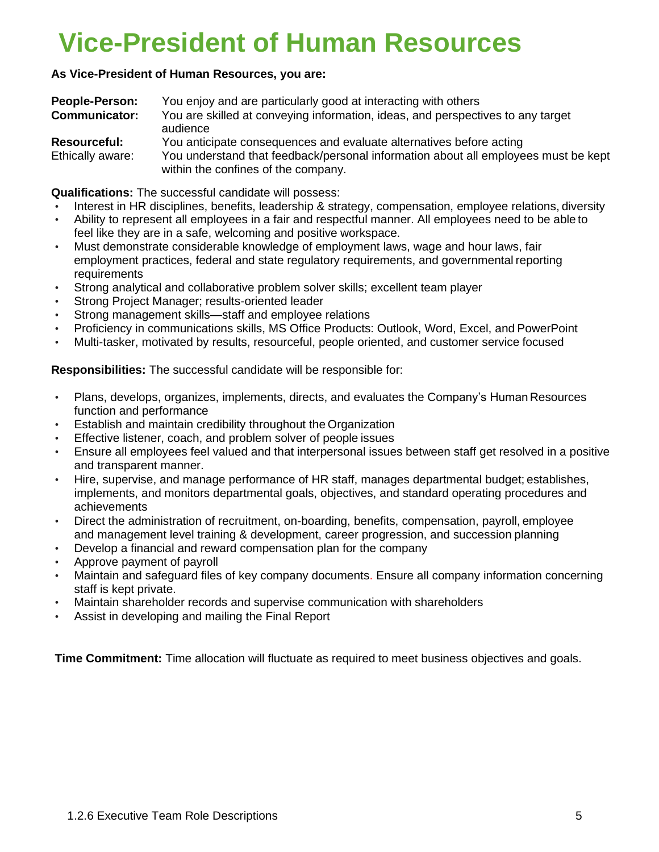## <span id="page-4-0"></span>**Vice-President of Human Resources**

### **As Vice-President of Human Resources, you are:**

| <b>People-Person:</b> | You enjoy and are particularly good at interacting with others                                                            |
|-----------------------|---------------------------------------------------------------------------------------------------------------------------|
| <b>Communicator:</b>  | You are skilled at conveying information, ideas, and perspectives to any target<br>audience                               |
| <b>Resourceful:</b>   | You anticipate consequences and evaluate alternatives before acting                                                       |
| Ethically aware:      | You understand that feedback/personal information about all employees must be kept<br>within the confines of the company. |

**Qualifications:** The successful candidate will possess:

- Interest in HR disciplines, benefits, leadership & strategy, compensation, employee relations, diversity
- Ability to represent all employees in a fair and respectful manner. All employees need to be able to feel like they are in a safe, welcoming and positive workspace.
- Must demonstrate considerable knowledge of employment laws, wage and hour laws, fair employment practices, federal and state regulatory requirements, and governmental reporting **requirements**
- Strong analytical and collaborative problem solver skills; excellent team player
- Strong Project Manager; results-oriented leader
- Strong management skills—staff and employee relations
- Proficiency in communications skills, MS Office Products: Outlook, Word, Excel, and PowerPoint
- Multi-tasker, motivated by results, resourceful, people oriented, and customer service focused

**Responsibilities:** The successful candidate will be responsible for:

- Plans, develops, organizes, implements, directs, and evaluates the Company's Human Resources function and performance
- Establish and maintain credibility throughout the Organization
- Effective listener, coach, and problem solver of people issues
- Ensure all employees feel valued and that interpersonal issues between staff get resolved in a positive and transparent manner.
- Hire, supervise, and manage performance of HR staff, manages departmental budget; establishes, implements, and monitors departmental goals, objectives, and standard operating procedures and achievements
- Direct the administration of recruitment, on-boarding, benefits, compensation, payroll, employee and management level training & development, career progression, and succession planning
- Develop a financial and reward compensation plan for the company
- Approve payment of payroll
- Maintain and safeguard files of key company documents. Ensure all company information concerning staff is kept private.
- Maintain shareholder records and supervise communication with shareholders
- Assist in developing and mailing the Final Report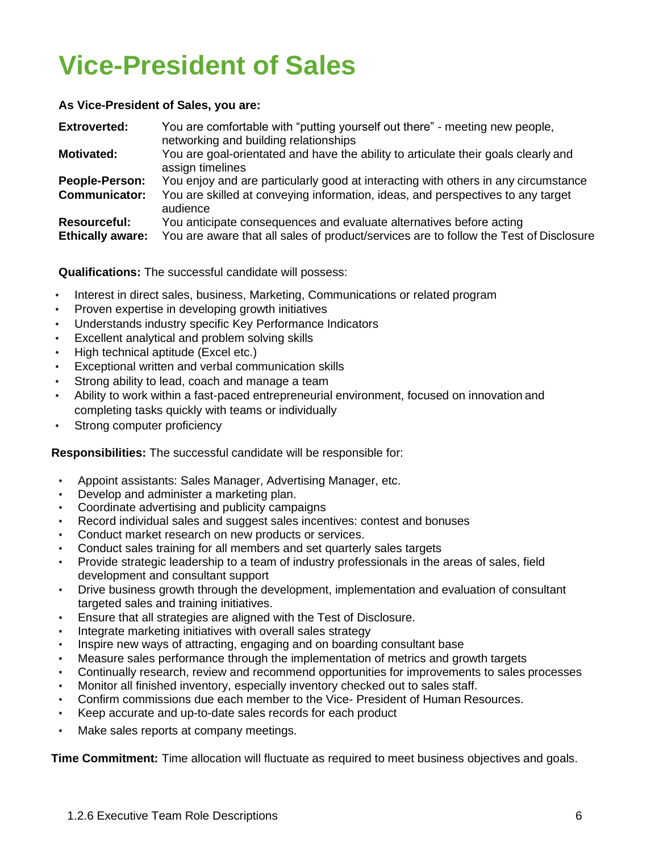# <span id="page-5-0"></span>**Vice-President of Sales**

#### **As Vice-President of Sales, you are:**

| <b>Extroverted:</b>                            | You are comfortable with "putting yourself out there" - meeting new people,<br>networking and building relationships                                                              |
|------------------------------------------------|-----------------------------------------------------------------------------------------------------------------------------------------------------------------------------------|
| Motivated:                                     | You are goal-orientated and have the ability to articulate their goals clearly and<br>assign timelines                                                                            |
| People-Person:<br><b>Communicator:</b>         | You enjoy and are particularly good at interacting with others in any circumstance<br>You are skilled at conveying information, ideas, and perspectives to any target<br>audience |
| <b>Resourceful:</b><br><b>Ethically aware:</b> | You anticipate consequences and evaluate alternatives before acting<br>You are aware that all sales of product/services are to follow the Test of Disclosure                      |

**Qualifications:** The successful candidate will possess:

- Interest in direct sales, business, Marketing, Communications or related program
- Proven expertise in developing growth initiatives
- Understands industry specific Key Performance Indicators
- Excellent analytical and problem solving skills
- High technical aptitude (Excel etc.)
- Exceptional written and verbal communication skills
- Strong ability to lead, coach and manage a team
- Ability to work within a fast-paced entrepreneurial environment, focused on innovation and completing tasks quickly with teams or individually
- Strong computer proficiency

**Responsibilities:** The successful candidate will be responsible for:

- Appoint assistants: Sales Manager, Advertising Manager, etc.
- Develop and administer a marketing plan.
- Coordinate advertising and publicity campaigns
- Record individual sales and suggest sales incentives: contest and bonuses
- Conduct market research on new products or services.
- Conduct sales training for all members and set quarterly sales targets
- Provide strategic leadership to a team of industry professionals in the areas of sales, field development and consultant support
- Drive business growth through the development, implementation and evaluation of consultant targeted sales and training initiatives.
- Ensure that all strategies are aligned with the Test of Disclosure.
- Integrate marketing initiatives with overall sales strategy
- Inspire new ways of attracting, engaging and on boarding consultant base
- Measure sales performance through the implementation of metrics and growth targets
- Continually research, review and recommend opportunities for improvements to sales processes
- Monitor all finished inventory, especially inventory checked out to sales staff.
- Confirm commissions due each member to the Vice- President of Human Resources.
- Keep accurate and up-to-date sales records for each product
- Make sales reports at company meetings.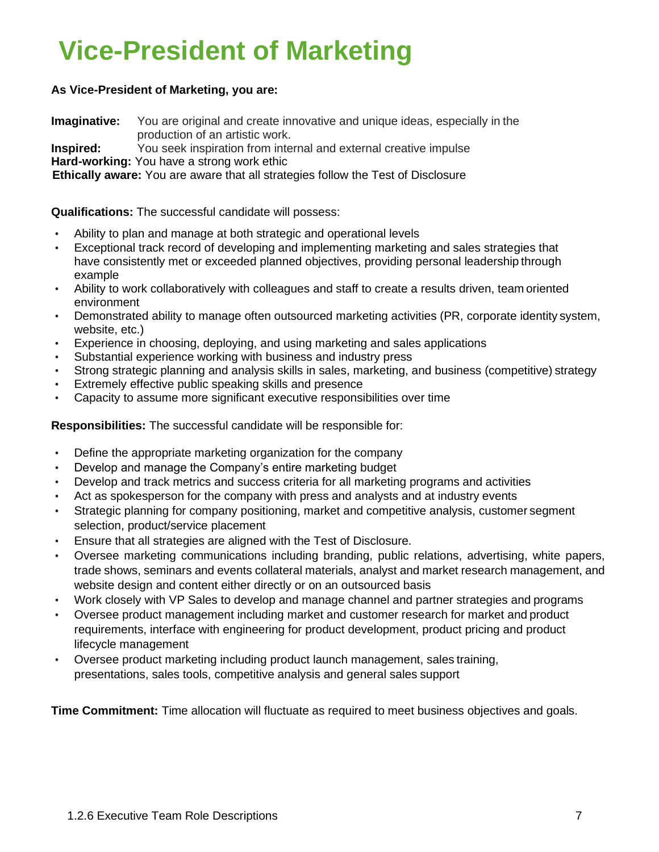## <span id="page-6-0"></span>**Vice-President of Marketing**

### **As Vice-President of Marketing, you are:**

**Imaginative:** You are original and create innovative and unique ideas, especially in the production of an artistic work.

**Inspired:** You seek inspiration from internal and external creative impulse **Hard-working:** You have a strong work ethic

**Ethically aware:** You are aware that all strategies follow the Test of Disclosure

### **Qualifications:** The successful candidate will possess:

- Ability to plan and manage at both strategic and operational levels
- Exceptional track record of developing and implementing marketing and sales strategies that have consistently met or exceeded planned objectives, providing personal leadership through example
- Ability to work collaboratively with colleagues and staff to create a results driven, team oriented environment
- Demonstrated ability to manage often outsourced marketing activities (PR, corporate identity system, website, etc.)
- Experience in choosing, deploying, and using marketing and sales applications
- Substantial experience working with business and industry press
- Strong strategic planning and analysis skills in sales, marketing, and business (competitive) strategy
- Extremely effective public speaking skills and presence
- Capacity to assume more significant executive responsibilities over time

**Responsibilities:** The successful candidate will be responsible for:

- Define the appropriate marketing organization for the company
- Develop and manage the Company's entire marketing budget
- Develop and track metrics and success criteria for all marketing programs and activities
- Act as spokesperson for the company with press and analysts and at industry events
- Strategic planning for company positioning, market and competitive analysis, customer segment selection, product/service placement
- Ensure that all strategies are aligned with the Test of Disclosure.
- Oversee marketing communications including branding, public relations, advertising, white papers, trade shows, seminars and events collateral materials, analyst and market research management, and website design and content either directly or on an outsourced basis
- Work closely with VP Sales to develop and manage channel and partner strategies and programs
- Oversee product management including market and customer research for market and product requirements, interface with engineering for product development, product pricing and product lifecycle management
- Oversee product marketing including product launch management, sales training, presentations, sales tools, competitive analysis and general sales support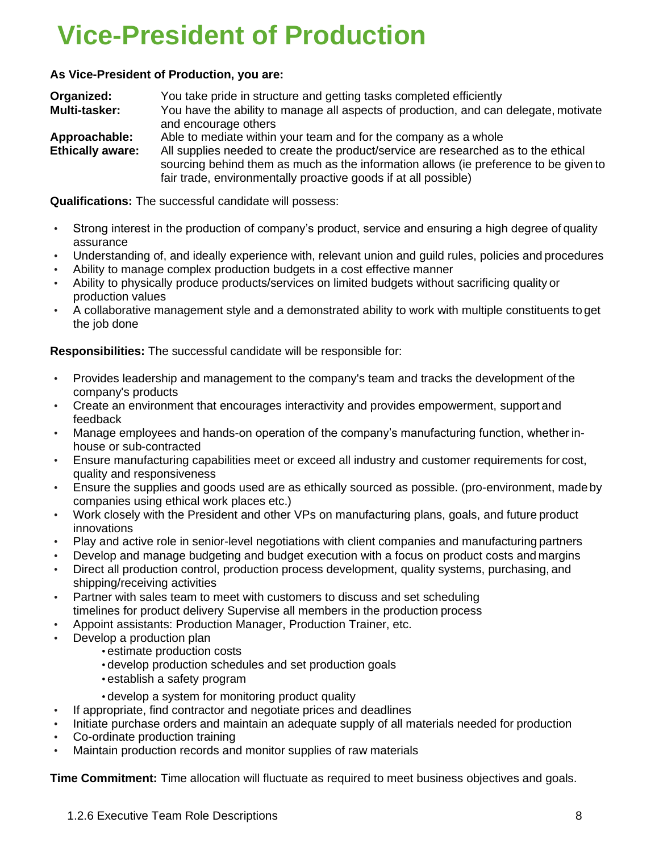## <span id="page-7-0"></span>**Vice-President of Production**

### **As Vice-President of Production, you are:**

| Organized:              | You take pride in structure and getting tasks completed efficiently                  |
|-------------------------|--------------------------------------------------------------------------------------|
| Multi-tasker:           | You have the ability to manage all aspects of production, and can delegate, motivate |
|                         | and encourage others                                                                 |
| Approachable:           | Able to mediate within your team and for the company as a whole                      |
| <b>Ethically aware:</b> | All supplies needed to create the product/service are researched as to the ethical   |
|                         | sourcing behind them as much as the information allows (ie preference to be given to |
|                         | fair trade, environmentally proactive goods if at all possible)                      |

**Qualifications:** The successful candidate will possess:

- Strong interest in the production of company's product, service and ensuring a high degree of quality assurance
- Understanding of, and ideally experience with, relevant union and guild rules, policies and procedures
- Ability to manage complex production budgets in a cost effective manner
- Ability to physically produce products/services on limited budgets without sacrificing quality or production values
- A collaborative management style and a demonstrated ability to work with multiple constituents to get the job done

**Responsibilities:** The successful candidate will be responsible for:

- Provides leadership and management to the company's team and tracks the development of the company's products
- Create an environment that encourages interactivity and provides empowerment, support and feedback
- Manage employees and hands-on operation of the company's manufacturing function, whether inhouse or sub-contracted
- Ensure manufacturing capabilities meet or exceed all industry and customer requirements for cost, quality and responsiveness
- Ensure the supplies and goods used are as ethically sourced as possible. (pro-environment, made by companies using ethical work places etc.)
- Work closely with the President and other VPs on manufacturing plans, goals, and future product innovations
- Play and active role in senior-level negotiations with client companies and manufacturing partners
- Develop and manage budgeting and budget execution with a focus on product costs and margins
- Direct all production control, production process development, quality systems, purchasing, and shipping/receiving activities
- Partner with sales team to meet with customers to discuss and set scheduling timelines for product delivery Supervise all members in the production process
- Appoint assistants: Production Manager, Production Trainer, etc.
- Develop a production plan
	- estimate production costs
	- develop production schedules and set production goals
	- establish a safety program
	- develop a system for monitoring product quality
- If appropriate, find contractor and negotiate prices and deadlines
- Initiate purchase orders and maintain an adequate supply of all materials needed for production
- Co-ordinate production training
- Maintain production records and monitor supplies of raw materials